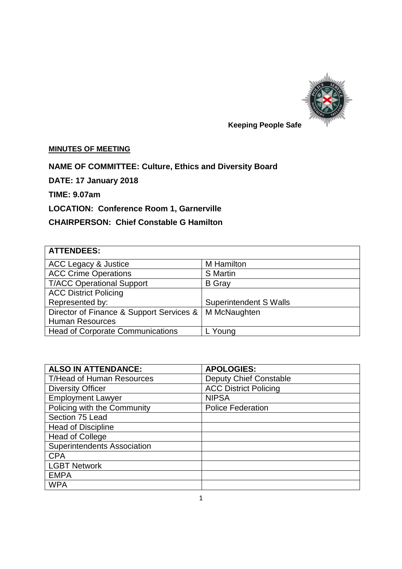

# **Keeping People Safe**

## **MINUTES OF MEETING**

## **NAME OF COMMITTEE: Culture, Ethics and Diversity Board**

**DATE: 17 January 2018** 

**TIME: 9.07am**

# **LOCATION: Conference Room 1, Garnerville**

# **CHAIRPERSON: Chief Constable G Hamilton**

| <b>ATTENDEES:</b>                        |                               |  |
|------------------------------------------|-------------------------------|--|
| <b>ACC Legacy &amp; Justice</b>          | M Hamilton                    |  |
| <b>ACC Crime Operations</b>              | <b>S</b> Martin               |  |
| <b>T/ACC Operational Support</b>         | <b>B</b> Gray                 |  |
| <b>ACC District Policing</b>             |                               |  |
| Represented by:                          | <b>Superintendent S Walls</b> |  |
| Director of Finance & Support Services & | M McNaughten                  |  |
| <b>Human Resources</b>                   |                               |  |
| <b>Head of Corporate Communications</b>  | <sub>-</sub> Young            |  |

| <b>ALSO IN ATTENDANCE:</b>         | <b>APOLOGIES:</b>             |
|------------------------------------|-------------------------------|
| <b>T/Head of Human Resources</b>   | <b>Deputy Chief Constable</b> |
| <b>Diversity Officer</b>           | <b>ACC District Policing</b>  |
| <b>Employment Lawyer</b>           | <b>NIPSA</b>                  |
| Policing with the Community        | <b>Police Federation</b>      |
| Section 75 Lead                    |                               |
| <b>Head of Discipline</b>          |                               |
| <b>Head of College</b>             |                               |
| <b>Superintendents Association</b> |                               |
| <b>CPA</b>                         |                               |
| <b>LGBT Network</b>                |                               |
| <b>EMPA</b>                        |                               |
| <b>WPA</b>                         |                               |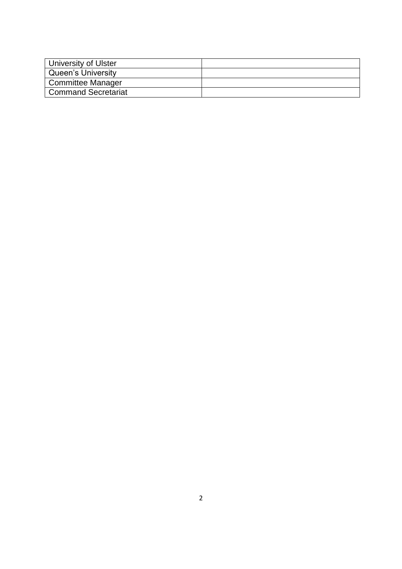| University of Ulster |  |
|----------------------|--|
| Queen's University   |  |
| Committee Manager    |  |
| Command Secretariat  |  |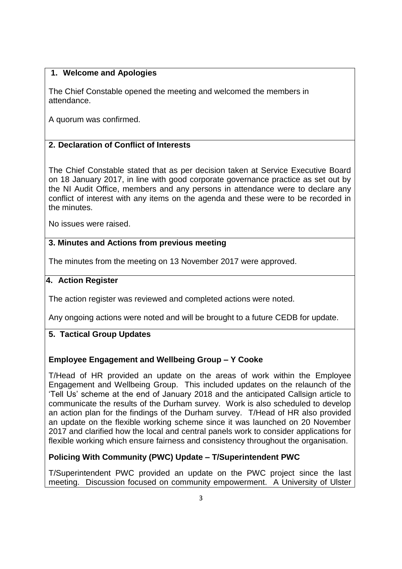### **1. Welcome and Apologies**

The Chief Constable opened the meeting and welcomed the members in attendance.

A quorum was confirmed.

## **2. Declaration of Conflict of Interests**

The Chief Constable stated that as per decision taken at Service Executive Board on 18 January 2017, in line with good corporate governance practice as set out by the NI Audit Office, members and any persons in attendance were to declare any conflict of interest with any items on the agenda and these were to be recorded in the minutes.

No issues were raised.

## **3. 3. Minutes and Actions from previous meeting**

The minutes from the meeting on 13 November 2017 were approved.

#### **4. Action Register**

The action register was reviewed and completed actions were noted.

Any ongoing actions were noted and will be brought to a future CEDB for update.

# **5. Tactical Group Updates**

## **Employee Engagement and Wellbeing Group – Y Cooke**

T/Head of HR provided an update on the areas of work within the Employee Engagement and Wellbeing Group. This included updates on the relaunch of the 'Tell Us' scheme at the end of January 2018 and the anticipated Callsign article to communicate the results of the Durham survey. Work is also scheduled to develop an action plan for the findings of the Durham survey. T/Head of HR also provided an update on the flexible working scheme since it was launched on 20 November 2017 and clarified how the local and central panels work to consider applications for flexible working which ensure fairness and consistency throughout the organisation.

## **Policing With Community (PWC) Update – T/Superintendent PWC**

T/Superintendent PWC provided an update on the PWC project since the last meeting. Discussion focused on community empowerment. A University of Ulster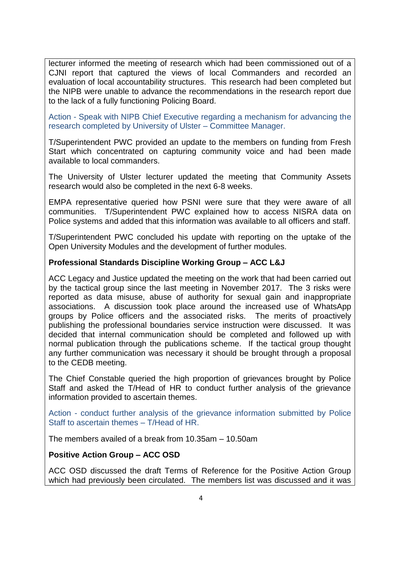lecturer informed the meeting of research which had been commissioned out of a CJNI report that captured the views of local Commanders and recorded an evaluation of local accountability structures. This research had been completed but the NIPB were unable to advance the recommendations in the research report due to the lack of a fully functioning Policing Board.

Action - Speak with NIPB Chief Executive regarding a mechanism for advancing the research completed by University of Ulster – Committee Manager.

T/Superintendent PWC provided an update to the members on funding from Fresh Start which concentrated on capturing community voice and had been made available to local commanders.

The University of Ulster lecturer updated the meeting that Community Assets research would also be completed in the next 6-8 weeks.

EMPA representative queried how PSNI were sure that they were aware of all communities. T/Superintendent PWC explained how to access NISRA data on Police systems and added that this information was available to all officers and staff.

T/Superintendent PWC concluded his update with reporting on the uptake of the Open University Modules and the development of further modules.

#### **Professional Standards Discipline Working Group – ACC L&J**

ACC Legacy and Justice updated the meeting on the work that had been carried out by the tactical group since the last meeting in November 2017. The 3 risks were reported as data misuse, abuse of authority for sexual gain and inappropriate associations. A discussion took place around the increased use of WhatsApp groups by Police officers and the associated risks. The merits of proactively publishing the professional boundaries service instruction were discussed. It was decided that internal communication should be completed and followed up with normal publication through the publications scheme. If the tactical group thought any further communication was necessary it should be brought through a proposal to the CEDB meeting.

The Chief Constable queried the high proportion of grievances brought by Police Staff and asked the T/Head of HR to conduct further analysis of the grievance information provided to ascertain themes.

Action - conduct further analysis of the grievance information submitted by Police Staff to ascertain themes – T/Head of HR.

The members availed of a break from 10.35am – 10.50am

#### **Positive Action Group – ACC OSD**

ACC OSD discussed the draft Terms of Reference for the Positive Action Group which had previously been circulated. The members list was discussed and it was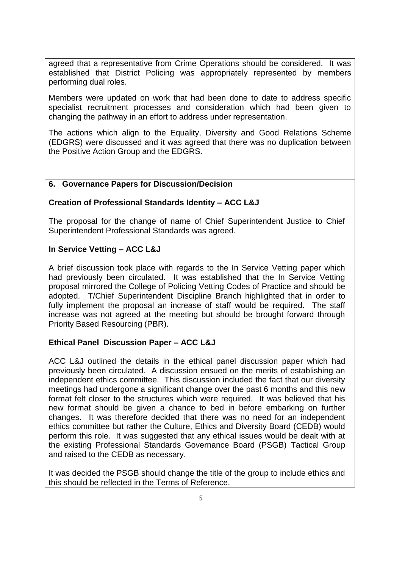agreed that a representative from Crime Operations should be considered. It was established that District Policing was appropriately represented by members performing dual roles.

Members were updated on work that had been done to date to address specific specialist recruitment processes and consideration which had been given to changing the pathway in an effort to address under representation.

The actions which align to the Equality, Diversity and Good Relations Scheme (EDGRS) were discussed and it was agreed that there was no duplication between the Positive Action Group and the EDGRS.

#### **6. Governance Papers for Discussion/Decision**

#### **Creation of Professional Standards Identity – ACC L&J**

The proposal for the change of name of Chief Superintendent Justice to Chief Superintendent Professional Standards was agreed.

#### **In Service Vetting – ACC L&J**

A brief discussion took place with regards to the In Service Vetting paper which had previously been circulated. It was established that the In Service Vetting proposal mirrored the College of Policing Vetting Codes of Practice and should be adopted. T/Chief Superintendent Discipline Branch highlighted that in order to fully implement the proposal an increase of staff would be required. The staff increase was not agreed at the meeting but should be brought forward through Priority Based Resourcing (PBR).

#### **Ethical Panel Discussion Paper – ACC L&J**

ACC L&J outlined the details in the ethical panel discussion paper which had previously been circulated. A discussion ensued on the merits of establishing an independent ethics committee. This discussion included the fact that our diversity meetings had undergone a significant change over the past 6 months and this new format felt closer to the structures which were required. It was believed that his new format should be given a chance to bed in before embarking on further changes. It was therefore decided that there was no need for an independent ethics committee but rather the Culture, Ethics and Diversity Board (CEDB) would perform this role. It was suggested that any ethical issues would be dealt with at the existing Professional Standards Governance Board (PSGB) Tactical Group and raised to the CEDB as necessary.

It was decided the PSGB should change the title of the group to include ethics and this should be reflected in the Terms of Reference.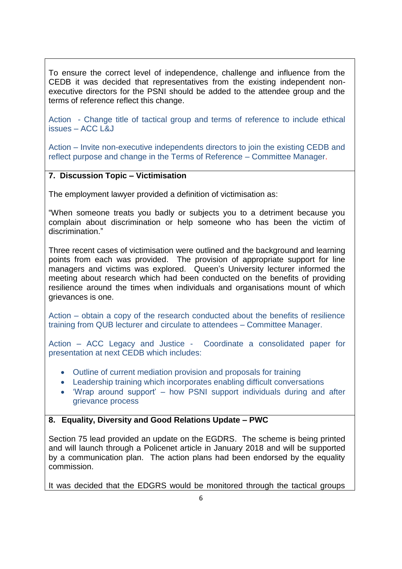To ensure the correct level of independence, challenge and influence from the CEDB it was decided that representatives from the existing independent nonexecutive directors for the PSNI should be added to the attendee group and the terms of reference reflect this change.

Action - Change title of tactical group and terms of reference to include ethical issues – ACC L&J

Action – Invite non-executive independents directors to join the existing CEDB and reflect purpose and change in the Terms of Reference – Committee Manager.

## **7. Discussion Topic – Victimisation**

The employment lawyer provided a definition of victimisation as:

"When someone treats you badly or subjects you to a detriment because you complain about discrimination or help someone who has been the victim of discrimination."

Three recent cases of victimisation were outlined and the background and learning points from each was provided. The provision of appropriate support for line managers and victims was explored. Queen's University lecturer informed the meeting about research which had been conducted on the benefits of providing resilience around the times when individuals and organisations mount of which grievances is one.

Action – obtain a copy of the research conducted about the benefits of resilience training from QUB lecturer and circulate to attendees – Committee Manager.

Action – ACC Legacy and Justice - Coordinate a consolidated paper for presentation at next CEDB which includes:

- Outline of current mediation provision and proposals for training
- Leadership training which incorporates enabling difficult conversations
- 'Wrap around support' how PSNI support individuals during and after grievance process

## **8. Equality, Diversity and Good Relations Update – PWC**

Section 75 lead provided an update on the EGDRS. The scheme is being printed and will launch through a Policenet article in January 2018 and will be supported by a communication plan. The action plans had been endorsed by the equality commission.

It was decided that the EDGRS would be monitored through the tactical groups